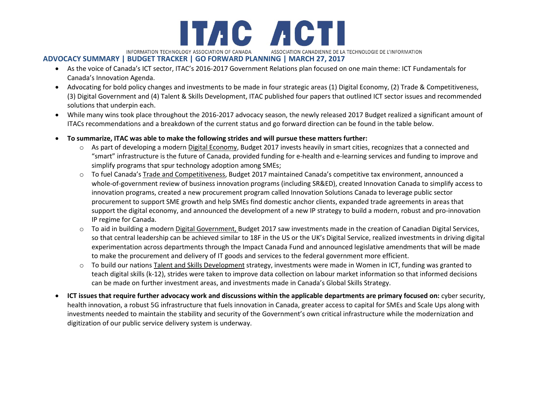

## **ADVOCACY SUMMARY | BUDGET TRACKER | GO FORWARD PLANNING | MARCH 27, 2017**

- As the voice of Canada's ICT sector, ITAC's 2016-2017 Government Relations plan focused on one main theme: ICT Fundamentals for Canada's Innovation Agenda.
- Advocating for bold policy changes and investments to be made in four strategic areas (1) Digital Economy, (2) Trade & Competitiveness, (3) Digital Government and (4) Talent & Skills Development, ITAC published four papers that outlined ICT sector issues and recommended solutions that underpin each.
- While many wins took place throughout the 2016-2017 advocacy season, the newly released 2017 Budget realized a significant amount of ITACs recommendations and a breakdown of the current status and go forward direction can be found in the table below.
- **To summarize, ITAC was able to make the following strides and will pursue these matters further:**
	- $\circ$  As part of developing a modern Digital Economy, Budget 2017 invests heavily in smart cities, recognizes that a connected and "smart" infrastructure is the future of Canada, provided funding for e-health and e-learning services and funding to improve and simplify programs that spur technology adoption among SMEs;
	- o To fuel Canada's Trade and Competitiveness, Budget 2017 maintained Canada's competitive tax environment, announced a whole-of-government review of business innovation programs (including SR&ED), created Innovation Canada to simplify access to innovation programs, created a new procurement program called Innovation Solutions Canada to leverage public sector procurement to support SME growth and help SMEs find domestic anchor clients, expanded trade agreements in areas that support the digital economy, and announced the development of a new IP strategy to build a modern, robust and pro-innovation IP regime for Canada.
	- o To aid in building a modern Digital Government, Budget 2017 saw investments made in the creation of Canadian Digital Services, so that central leadership can be achieved similar to 18F in the US or the UK's Digital Service, realized investments in driving digital experimentation across departments through the Impact Canada Fund and announced legislative amendments that will be made to make the procurement and delivery of IT goods and services to the federal government more efficient.
	- o To build our nations Talent and Skills Development strategy, investments were made in Women in ICT, funding was granted to teach digital skills (k-12), strides were taken to improve data collection on labour market information so that informed decisions can be made on further investment areas, and investments made in Canada's Global Skills Strategy.
- **ICT issues that require further advocacy work and discussions within the applicable departments are primary focused on:** cyber security, health innovation, a robust 5G infrastructure that fuels innovation in Canada, greater access to capital for SMEs and Scale Ups along with investments needed to maintain the stability and security of the Government's own critical infrastructure while the modernization and digitization of our public service delivery system is underway.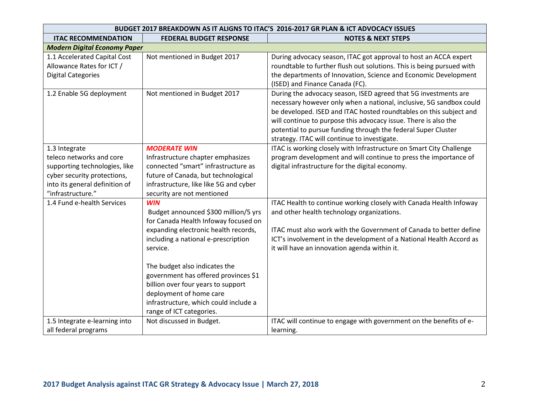| BUDGET 2017 BREAKDOWN AS IT ALIGNS TO ITAC'S 2016-2017 GR PLAN & ICT ADVOCACY ISSUES                                                                             |                                                                                                                                                                                                                |                                                                                                                                                                                                                                                                                                                                                                                                  |
|------------------------------------------------------------------------------------------------------------------------------------------------------------------|----------------------------------------------------------------------------------------------------------------------------------------------------------------------------------------------------------------|--------------------------------------------------------------------------------------------------------------------------------------------------------------------------------------------------------------------------------------------------------------------------------------------------------------------------------------------------------------------------------------------------|
| <b>ITAC RECOMMENDATION</b>                                                                                                                                       | <b>FEDERAL BUDGET RESPONSE</b>                                                                                                                                                                                 | <b>NOTES &amp; NEXT STEPS</b>                                                                                                                                                                                                                                                                                                                                                                    |
| <b>Modern Digital Economy Paper</b>                                                                                                                              |                                                                                                                                                                                                                |                                                                                                                                                                                                                                                                                                                                                                                                  |
| 1.1 Accelerated Capital Cost<br>Allowance Rates for ICT /<br><b>Digital Categories</b>                                                                           | Not mentioned in Budget 2017                                                                                                                                                                                   | During advocacy season, ITAC got approval to host an ACCA expert<br>roundtable to further flush out solutions. This is being pursued with<br>the departments of Innovation, Science and Economic Development<br>(ISED) and Finance Canada (FC).                                                                                                                                                  |
| 1.2 Enable 5G deployment                                                                                                                                         | Not mentioned in Budget 2017                                                                                                                                                                                   | During the advocacy season, ISED agreed that 5G investments are<br>necessary however only when a national, inclusive, 5G sandbox could<br>be developed. ISED and ITAC hosted roundtables on this subject and<br>will continue to purpose this advocacy issue. There is also the<br>potential to pursue funding through the federal Super Cluster<br>strategy. ITAC will continue to investigate. |
| 1.3 Integrate<br>teleco networks and core<br>supporting technologies, like<br>cyber security protections,<br>into its general definition of<br>"infrastructure." | <b>MODERATE WIN</b><br>Infrastructure chapter emphasizes<br>connected "smart" infrastructure as<br>future of Canada, but technological<br>infrastructure, like like 5G and cyber<br>security are not mentioned | ITAC is working closely with Infrastructure on Smart City Challenge<br>program development and will continue to press the importance of<br>digital infrastructure for the digital economy.                                                                                                                                                                                                       |
| 1.4 Fund e-health Services                                                                                                                                       | <b>WIN</b><br>Budget announced \$300 million/5 yrs<br>for Canada Health Infoway focused on                                                                                                                     | ITAC Health to continue working closely with Canada Health Infoway<br>and other health technology organizations.                                                                                                                                                                                                                                                                                 |
|                                                                                                                                                                  | expanding electronic health records,<br>including a national e-prescription<br>service.                                                                                                                        | ITAC must also work with the Government of Canada to better define<br>ICT's involvement in the development of a National Health Accord as<br>it will have an innovation agenda within it.                                                                                                                                                                                                        |
|                                                                                                                                                                  | The budget also indicates the<br>government has offered provinces \$1<br>billion over four years to support                                                                                                    |                                                                                                                                                                                                                                                                                                                                                                                                  |
|                                                                                                                                                                  | deployment of home care<br>infrastructure, which could include a<br>range of ICT categories.                                                                                                                   |                                                                                                                                                                                                                                                                                                                                                                                                  |
| 1.5 Integrate e-learning into<br>all federal programs                                                                                                            | Not discussed in Budget.                                                                                                                                                                                       | ITAC will continue to engage with government on the benefits of e-<br>learning.                                                                                                                                                                                                                                                                                                                  |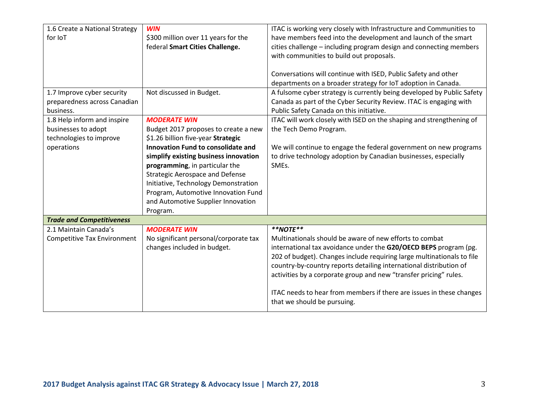| 1.6 Create a National Strategy     | <b>WIN</b>                                | ITAC is working very closely with Infrastructure and Communities to    |
|------------------------------------|-------------------------------------------|------------------------------------------------------------------------|
| for IoT                            | \$300 million over 11 years for the       | have members feed into the development and launch of the smart         |
|                                    | federal Smart Cities Challenge.           | cities challenge - including program design and connecting members     |
|                                    |                                           | with communities to build out proposals.                               |
|                                    |                                           |                                                                        |
|                                    |                                           | Conversations will continue with ISED, Public Safety and other         |
|                                    |                                           | departments on a broader strategy for IoT adoption in Canada.          |
| 1.7 Improve cyber security         | Not discussed in Budget.                  | A fulsome cyber strategy is currently being developed by Public Safety |
| preparedness across Canadian       |                                           | Canada as part of the Cyber Security Review. ITAC is engaging with     |
| business.                          |                                           | Public Safety Canada on this initiative.                               |
| 1.8 Help inform and inspire        | <b>MODERATE WIN</b>                       | ITAC will work closely with ISED on the shaping and strengthening of   |
| businesses to adopt                | Budget 2017 proposes to create a new      | the Tech Demo Program.                                                 |
| technologies to improve            | \$1.26 billion five-year Strategic        |                                                                        |
| operations                         | <b>Innovation Fund to consolidate and</b> | We will continue to engage the federal government on new programs      |
|                                    | simplify existing business innovation     | to drive technology adoption by Canadian businesses, especially        |
|                                    | programming, in particular the            | SMEs.                                                                  |
|                                    | <b>Strategic Aerospace and Defense</b>    |                                                                        |
|                                    | Initiative, Technology Demonstration      |                                                                        |
|                                    | Program, Automotive Innovation Fund       |                                                                        |
|                                    | and Automotive Supplier Innovation        |                                                                        |
|                                    | Program.                                  |                                                                        |
| <b>Trade and Competitiveness</b>   |                                           |                                                                        |
| 2.1 Maintain Canada's              | <b>MODERATE WIN</b>                       | $**NOTE**$                                                             |
| <b>Competitive Tax Environment</b> | No significant personal/corporate tax     | Multinationals should be aware of new efforts to combat                |
|                                    | changes included in budget.               | international tax avoidance under the G20/OECD BEPS program (pg.       |
|                                    |                                           | 202 of budget). Changes include requiring large multinationals to file |
|                                    |                                           | country-by-country reports detailing international distribution of     |
|                                    |                                           | activities by a corporate group and new "transfer pricing" rules.      |
|                                    |                                           | ITAC needs to hear from members if there are issues in these changes   |
|                                    |                                           | that we should be pursuing.                                            |
|                                    |                                           |                                                                        |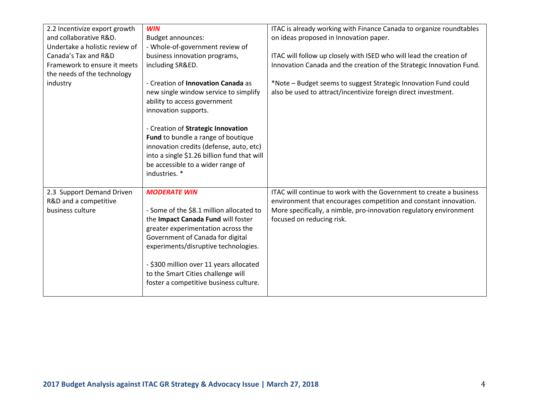| 2.2 Incentivize export growth  | <b>WIN</b>                                  | ITAC is already working with Finance Canada to organize roundtables  |
|--------------------------------|---------------------------------------------|----------------------------------------------------------------------|
| and collaborative R&D.         | <b>Budget announces:</b>                    | on ideas proposed in Innovation paper.                               |
| Undertake a holistic review of | - Whole-of-government review of             |                                                                      |
| Canada's Tax and R&D           | business innovation programs,               | ITAC will follow up closely with ISED who will lead the creation of  |
| Framework to ensure it meets   | including SR&ED.                            | Innovation Canada and the creation of the Strategic Innovation Fund. |
| the needs of the technology    |                                             |                                                                      |
| industry                       | - Creation of Innovation Canada as          | *Note - Budget seems to suggest Strategic Innovation Fund could      |
|                                | new single window service to simplify       | also be used to attract/incentivize foreign direct investment.       |
|                                | ability to access government                |                                                                      |
|                                | innovation supports.                        |                                                                      |
|                                |                                             |                                                                      |
|                                | - Creation of Strategic Innovation          |                                                                      |
|                                | Fund to bundle a range of boutique          |                                                                      |
|                                | innovation credits (defense, auto, etc)     |                                                                      |
|                                | into a single \$1.26 billion fund that will |                                                                      |
|                                | be accessible to a wider range of           |                                                                      |
|                                | industries. *                               |                                                                      |
|                                |                                             |                                                                      |
| 2.3 Support Demand Driven      | <b>MODERATE WIN</b>                         | ITAC will continue to work with the Government to create a business  |
| R&D and a competitive          |                                             | environment that encourages competition and constant innovation.     |
| business culture               | - Some of the \$8.1 million allocated to    | More specifically, a nimble, pro-innovation regulatory environment   |
|                                | the Impact Canada Fund will foster          | focused on reducing risk.                                            |
|                                | greater experimentation across the          |                                                                      |
|                                | Government of Canada for digital            |                                                                      |
|                                | experiments/disruptive technologies.        |                                                                      |
|                                |                                             |                                                                      |
|                                | - \$300 million over 11 years allocated     |                                                                      |
|                                | to the Smart Cities challenge will          |                                                                      |
|                                | foster a competitive business culture.      |                                                                      |
|                                |                                             |                                                                      |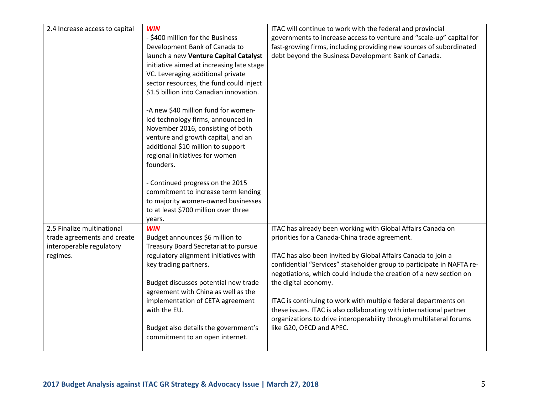| 2.4 Increase access to capital                                                        | <b>WIN</b><br>- \$400 million for the Business<br>Development Bank of Canada to<br>launch a new Venture Capital Catalyst<br>initiative aimed at increasing late stage                                                                     | ITAC will continue to work with the federal and provincial<br>governments to increase access to venture and "scale-up" capital for<br>fast-growing firms, including providing new sources of subordinated<br>debt beyond the Business Development Bank of Canada. |
|---------------------------------------------------------------------------------------|-------------------------------------------------------------------------------------------------------------------------------------------------------------------------------------------------------------------------------------------|-------------------------------------------------------------------------------------------------------------------------------------------------------------------------------------------------------------------------------------------------------------------|
|                                                                                       | VC. Leveraging additional private<br>sector resources, the fund could inject<br>\$1.5 billion into Canadian innovation.                                                                                                                   |                                                                                                                                                                                                                                                                   |
|                                                                                       | -A new \$40 million fund for women-<br>led technology firms, announced in<br>November 2016, consisting of both<br>venture and growth capital, and an<br>additional \$10 million to support<br>regional initiatives for women<br>founders. |                                                                                                                                                                                                                                                                   |
|                                                                                       | - Continued progress on the 2015<br>commitment to increase term lending<br>to majority women-owned businesses<br>to at least \$700 million over three<br>years.                                                                           |                                                                                                                                                                                                                                                                   |
| 2.5 Finalize multinational<br>trade agreements and create<br>interoperable regulatory | <b>WIN</b><br>Budget announces \$6 million to<br>Treasury Board Secretariat to pursue                                                                                                                                                     | ITAC has already been working with Global Affairs Canada on<br>priorities for a Canada-China trade agreement.                                                                                                                                                     |
| regimes.                                                                              | regulatory alignment initiatives with<br>key trading partners.                                                                                                                                                                            | ITAC has also been invited by Global Affairs Canada to join a<br>confidential "Services" stakeholder group to participate in NAFTA re-<br>negotiations, which could include the creation of a new section on                                                      |
|                                                                                       | Budget discusses potential new trade<br>agreement with China as well as the<br>implementation of CETA agreement                                                                                                                           | the digital economy.<br>ITAC is continuing to work with multiple federal departments on                                                                                                                                                                           |
|                                                                                       | with the EU.<br>Budget also details the government's                                                                                                                                                                                      | these issues. ITAC is also collaborating with international partner<br>organizations to drive interoperability through multilateral forums<br>like G20, OECD and APEC.                                                                                            |
|                                                                                       | commitment to an open internet.                                                                                                                                                                                                           |                                                                                                                                                                                                                                                                   |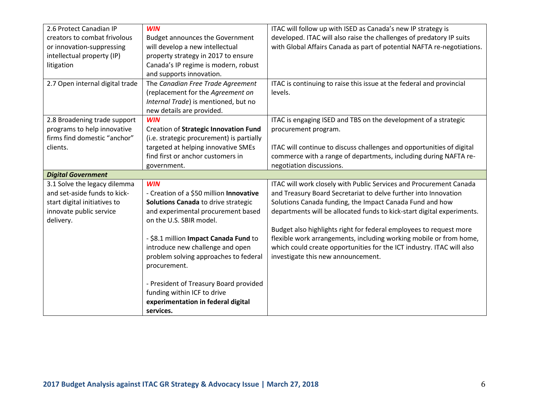| 2.6 Protect Canadian IP         | <b>WIN</b>                                      | ITAC will follow up with ISED as Canada's new IP strategy is           |
|---------------------------------|-------------------------------------------------|------------------------------------------------------------------------|
| creators to combat frivolous    | <b>Budget announces the Government</b>          | developed. ITAC will also raise the challenges of predatory IP suits   |
| or innovation-suppressing       | will develop a new intellectual                 | with Global Affairs Canada as part of potential NAFTA re-negotiations. |
| intellectual property (IP)      | property strategy in 2017 to ensure             |                                                                        |
| litigation                      | Canada's IP regime is modern, robust            |                                                                        |
|                                 | and supports innovation.                        |                                                                        |
| 2.7 Open internal digital trade | The Canadian Free Trade Agreement               | ITAC is continuing to raise this issue at the federal and provincial   |
|                                 | (replacement for the Agreement on               | levels.                                                                |
|                                 | Internal Trade) is mentioned, but no            |                                                                        |
|                                 | new details are provided.                       |                                                                        |
| 2.8 Broadening trade support    | <b>WIN</b>                                      | ITAC is engaging ISED and TBS on the development of a strategic        |
| programs to help innovative     | Creation of Strategic Innovation Fund           | procurement program.                                                   |
| firms find domestic "anchor"    | (i.e. strategic procurement) is partially       |                                                                        |
| clients.                        | targeted at helping innovative SMEs             | ITAC will continue to discuss challenges and opportunities of digital  |
|                                 | find first or anchor customers in               | commerce with a range of departments, including during NAFTA re-       |
|                                 | government.                                     | negotiation discussions.                                               |
| <b>Digital Government</b>       |                                                 |                                                                        |
| 3.1 Solve the legacy dilemma    | <b>WIN</b>                                      | ITAC will work closely with Public Services and Procurement Canada     |
| and set-aside funds to kick-    | - Creation of a \$50 million Innovative         | and Treasury Board Secretariat to delve further into Innovation        |
| start digital initiatives to    | Solutions Canada to drive strategic             | Solutions Canada funding, the Impact Canada Fund and how               |
| innovate public service         | and experimental procurement based              | departments will be allocated funds to kick-start digital experiments. |
| delivery.                       | on the U.S. SBIR model.                         |                                                                        |
|                                 |                                                 | Budget also highlights right for federal employees to request more     |
|                                 | - \$8.1 million Impact Canada Fund to           | flexible work arrangements, including working mobile or from home,     |
|                                 | introduce new challenge and open                | which could create opportunities for the ICT industry. ITAC will also  |
|                                 | problem solving approaches to federal           | investigate this new announcement.                                     |
|                                 | procurement.                                    |                                                                        |
|                                 |                                                 |                                                                        |
|                                 | - President of Treasury Board provided          |                                                                        |
|                                 | funding within ICF to drive                     |                                                                        |
|                                 |                                                 |                                                                        |
|                                 | experimentation in federal digital<br>services. |                                                                        |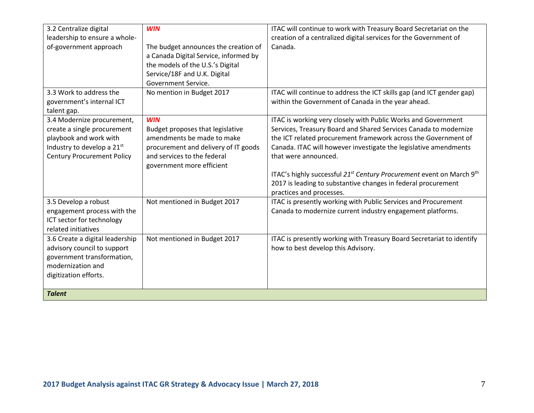| 3.2 Centralize digital<br>leadership to ensure a whole-<br>of-government approach                                                                      | <b>WIN</b><br>The budget announces the creation of<br>a Canada Digital Service, informed by<br>the models of the U.S.'s Digital<br>Service/18F and U.K. Digital<br>Government Service. | ITAC will continue to work with Treasury Board Secretariat on the<br>creation of a centralized digital services for the Government of<br>Canada.                                                                                                                                                                                                                                                                                                                 |
|--------------------------------------------------------------------------------------------------------------------------------------------------------|----------------------------------------------------------------------------------------------------------------------------------------------------------------------------------------|------------------------------------------------------------------------------------------------------------------------------------------------------------------------------------------------------------------------------------------------------------------------------------------------------------------------------------------------------------------------------------------------------------------------------------------------------------------|
| 3.3 Work to address the<br>government's internal ICT<br>talent gap.                                                                                    | No mention in Budget 2017                                                                                                                                                              | ITAC will continue to address the ICT skills gap (and ICT gender gap)<br>within the Government of Canada in the year ahead.                                                                                                                                                                                                                                                                                                                                      |
| 3.4 Modernize procurement,<br>create a single procurement<br>playbook and work with<br>Industry to develop a 21st<br><b>Century Procurement Policy</b> | <b>WIN</b><br>Budget proposes that legislative<br>amendments be made to make<br>procurement and delivery of IT goods<br>and services to the federal<br>government more efficient       | ITAC is working very closely with Public Works and Government<br>Services, Treasury Board and Shared Services Canada to modernize<br>the ICT related procurement framework across the Government of<br>Canada. ITAC will however investigate the legislative amendments<br>that were announced.<br>ITAC's highly successful 21 <sup>st</sup> Century Procurement event on March 9 <sup>th</sup><br>2017 is leading to substantive changes in federal procurement |
| 3.5 Develop a robust<br>engagement process with the<br>ICT sector for technology<br>related initiatives                                                | Not mentioned in Budget 2017                                                                                                                                                           | practices and processes.<br>ITAC is presently working with Public Services and Procurement<br>Canada to modernize current industry engagement platforms.                                                                                                                                                                                                                                                                                                         |
| 3.6 Create a digital leadership<br>advisory council to support<br>government transformation,<br>modernization and<br>digitization efforts.             | Not mentioned in Budget 2017                                                                                                                                                           | ITAC is presently working with Treasury Board Secretariat to identify<br>how to best develop this Advisory.                                                                                                                                                                                                                                                                                                                                                      |
| <b>Talent</b>                                                                                                                                          |                                                                                                                                                                                        |                                                                                                                                                                                                                                                                                                                                                                                                                                                                  |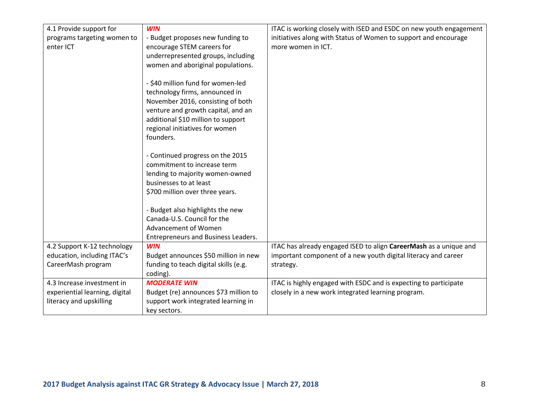| 4.1 Provide support for        | <b>WIN</b>                            | ITAC is working closely with ISED and ESDC on new youth engagement |
|--------------------------------|---------------------------------------|--------------------------------------------------------------------|
| programs targeting women to    | - Budget proposes new funding to      | initiatives along with Status of Women to support and encourage    |
| enter ICT                      | encourage STEM careers for            | more women in ICT.                                                 |
|                                | underrepresented groups, including    |                                                                    |
|                                | women and aboriginal populations.     |                                                                    |
|                                |                                       |                                                                    |
|                                | - \$40 million fund for women-led     |                                                                    |
|                                | technology firms, announced in        |                                                                    |
|                                | November 2016, consisting of both     |                                                                    |
|                                | venture and growth capital, and an    |                                                                    |
|                                | additional \$10 million to support    |                                                                    |
|                                | regional initiatives for women        |                                                                    |
|                                | founders.                             |                                                                    |
|                                |                                       |                                                                    |
|                                | - Continued progress on the 2015      |                                                                    |
|                                | commitment to increase term           |                                                                    |
|                                | lending to majority women-owned       |                                                                    |
|                                | businesses to at least                |                                                                    |
|                                | \$700 million over three years.       |                                                                    |
|                                | - Budget also highlights the new      |                                                                    |
|                                | Canada-U.S. Council for the           |                                                                    |
|                                | Advancement of Women                  |                                                                    |
|                                | Entrepreneurs and Business Leaders.   |                                                                    |
| 4.2 Support K-12 technology    | <b>WIN</b>                            | ITAC has already engaged ISED to align CareerMash as a unique and  |
| education, including ITAC's    | Budget announces \$50 million in new  | important component of a new youth digital literacy and career     |
| CareerMash program             | funding to teach digital skills (e.g. | strategy.                                                          |
|                                | coding).                              |                                                                    |
| 4.3 Increase investment in     | <b>MODERATE WIN</b>                   | ITAC is highly engaged with ESDC and is expecting to participate   |
| experiential learning, digital | Budget (re) announces \$73 million to | closely in a new work integrated learning program.                 |
| literacy and upskilling        | support work integrated learning in   |                                                                    |
|                                | key sectors.                          |                                                                    |